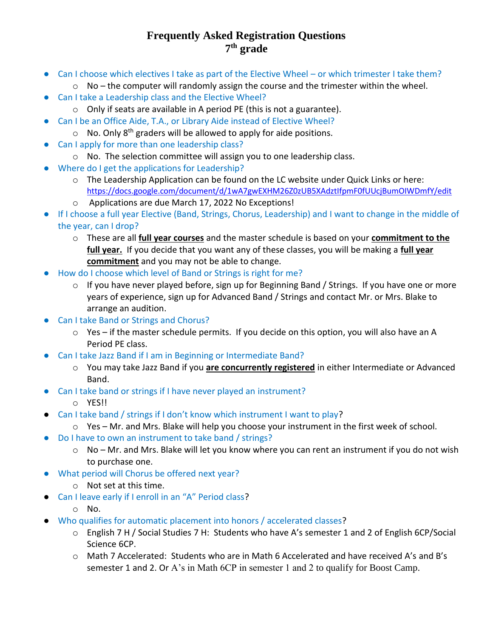## **Frequently Asked Registration Questions 7 th grade**

- Can I choose which electives I take as part of the Elective Wheel or which trimester I take them?
	- $\circ$  No the computer will randomly assign the course and the trimester within the wheel.
- Can I take a Leadership class and the Elective Wheel?
	- o Only if seats are available in A period PE (this is not a guarantee).
- Can I be an Office Aide, T.A., or Library Aide instead of Elective Wheel?
	- $\circ$  No. Only 8<sup>th</sup> graders will be allowed to apply for aide positions.
- Can I apply for more than one leadership class?
	- o No. The selection committee will assign you to one leadership class.
- Where do I get the applications for Leadership?
	- $\circ$  The Leadership Application can be found on the LC website under Quick Links or here: <https://docs.google.com/document/d/1wA7gwEXHM26Z0zUB5XAdztIfpmF0fUUcjBumOIWDmfY/edit>
	- o Applications are due March 17, 2022 No Exceptions!
- If I choose a full year Elective (Band, Strings, Chorus, Leadership) and I want to change in the middle of the year, can I drop?
	- o These are all **full year courses** and the master schedule is based on your **commitment to the full year.** If you decide that you want any of these classes, you will be making a **full year commitment** and you may not be able to change.
- How do I choose which level of Band or Strings is right for me?
	- o If you have never played before, sign up for Beginning Band / Strings. If you have one or more years of experience, sign up for Advanced Band / Strings and contact Mr. or Mrs. Blake to arrange an audition.
- Can I take Band or Strings and Chorus?
	- $\circ$  Yes if the master schedule permits. If you decide on this option, you will also have an A Period PE class.
- Can I take Jazz Band if I am in Beginning or Intermediate Band?
	- o You may take Jazz Band if you **are concurrently registered** in either Intermediate or Advanced Band.
- Can I take band or strings if I have never played an instrument?
	- o YES!!
- Can I take band / strings if I don't know which instrument I want to play?
	- $\circ$  Yes Mr. and Mrs. Blake will help you choose your instrument in the first week of school.
- Do I have to own an instrument to take band / strings?
	- o No Mr. and Mrs. Blake will let you know where you can rent an instrument if you do not wish to purchase one.
- What period will Chorus be offered next year?
	- o Not set at this time.
- Can I leave early if I enroll in an "A" Period class?
	- o No.
- Who qualifies for automatic placement into honors / accelerated classes?
	- o English 7 H / Social Studies 7 H: Students who have A's semester 1 and 2 of English 6CP/Social Science 6CP.
	- o Math 7 Accelerated: Students who are in Math 6 Accelerated and have received A's and B's semester 1 and 2. Or A's in Math 6CP in semester 1 and 2 to qualify for Boost Camp.